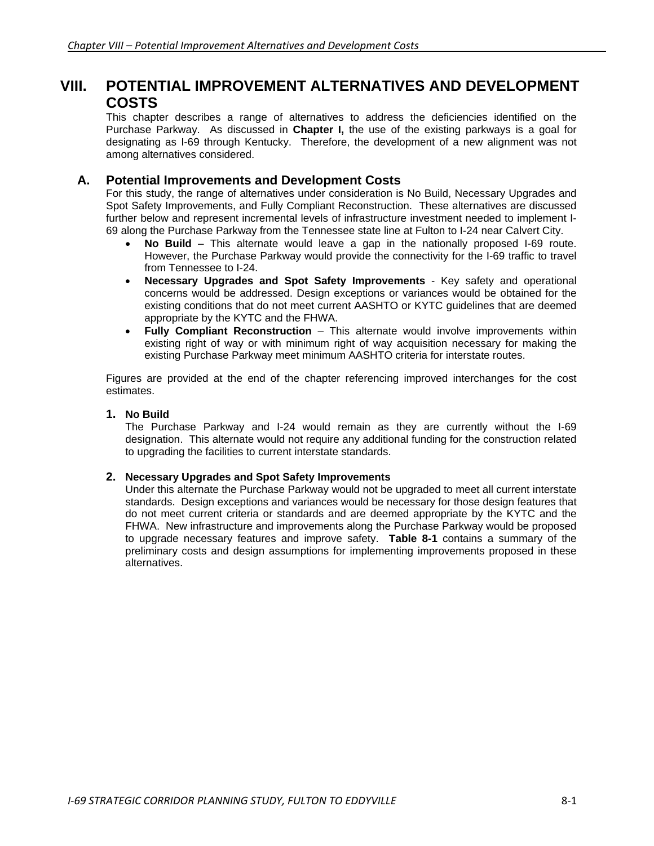# **VIII. POTENTIAL IMPROVEMENT ALTERNATIVES AND DEVELOPMENT COSTS**

This chapter describes a range of alternatives to address the deficiencies identified on the Purchase Parkway. As discussed in **Chapter I,** the use of the existing parkways is a goal for designating as I-69 through Kentucky. Therefore, the development of a new alignment was not among alternatives considered.

# **A. Potential Improvements and Development Costs**

For this study, the range of alternatives under consideration is No Build, Necessary Upgrades and Spot Safety Improvements, and Fully Compliant Reconstruction. These alternatives are discussed further below and represent incremental levels of infrastructure investment needed to implement I-69 along the Purchase Parkway from the Tennessee state line at Fulton to I-24 near Calvert City.

- **No Build** This alternate would leave a gap in the nationally proposed I-69 route. However, the Purchase Parkway would provide the connectivity for the I-69 traffic to travel from Tennessee to I-24.
- **Necessary Upgrades and Spot Safety Improvements** Key safety and operational concerns would be addressed. Design exceptions or variances would be obtained for the existing conditions that do not meet current AASHTO or KYTC guidelines that are deemed appropriate by the KYTC and the FHWA.
- **Fully Compliant Reconstruction**  This alternate would involve improvements within existing right of way or with minimum right of way acquisition necessary for making the existing Purchase Parkway meet minimum AASHTO criteria for interstate routes.

Figures are provided at the end of the chapter referencing improved interchanges for the cost estimates.

## **1. No Build**

The Purchase Parkway and I-24 would remain as they are currently without the I-69 designation. This alternate would not require any additional funding for the construction related to upgrading the facilities to current interstate standards.

#### **2. Necessary Upgrades and Spot Safety Improvements**

Under this alternate the Purchase Parkway would not be upgraded to meet all current interstate standards. Design exceptions and variances would be necessary for those design features that do not meet current criteria or standards and are deemed appropriate by the KYTC and the FHWA. New infrastructure and improvements along the Purchase Parkway would be proposed to upgrade necessary features and improve safety. **Table 8-1** contains a summary of the preliminary costs and design assumptions for implementing improvements proposed in these alternatives.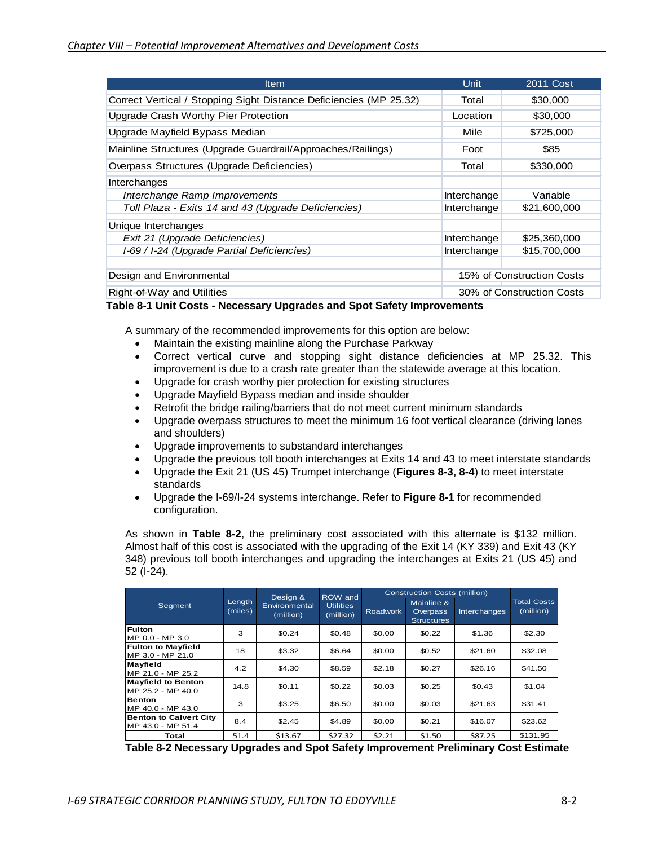| <b>Item</b>                                                        | Unit                      | 2011 Cost    |  |
|--------------------------------------------------------------------|---------------------------|--------------|--|
| Correct Vertical / Stopping Sight Distance Deficiencies (MP 25.32) | Total                     | \$30,000     |  |
| Upgrade Crash Worthy Pier Protection                               | Location                  | \$30,000     |  |
| Upgrade Mayfield Bypass Median                                     | Mile                      | \$725,000    |  |
| Mainline Structures (Upgrade Guardrail/Approaches/Railings)        | Foot                      | \$85         |  |
| Overpass Structures (Upgrade Deficiencies)                         | Total                     | \$330,000    |  |
| Interchanges                                                       |                           |              |  |
| Interchange Ramp Improvements                                      | Interchange               | Variable     |  |
| Toll Plaza - Exits 14 and 43 (Upgrade Deficiencies)                | Interchange               | \$21,600,000 |  |
| Unique Interchanges                                                |                           |              |  |
| Exit 21 (Upgrade Deficiencies)                                     | Interchange               | \$25,360,000 |  |
| I-69 / I-24 (Upgrade Partial Deficiencies)                         | Interchange               | \$15,700,000 |  |
|                                                                    |                           |              |  |
| Design and Environmental                                           | 15% of Construction Costs |              |  |
| Right-of-Way and Utilities                                         | 30% of Construction Costs |              |  |

## **Table 8-1 Unit Costs - Necessary Upgrades and Spot Safety Improvements**

A summary of the recommended improvements for this option are below:

- Maintain the existing mainline along the Purchase Parkway
- Correct vertical curve and stopping sight distance deficiencies at MP 25.32. This improvement is due to a crash rate greater than the statewide average at this location.
- Upgrade for crash worthy pier protection for existing structures
- Upgrade Mayfield Bypass median and inside shoulder
- Retrofit the bridge railing/barriers that do not meet current minimum standards
- Upgrade overpass structures to meet the minimum 16 foot vertical clearance (driving lanes and shoulders)
- Upgrade improvements to substandard interchanges
- Upgrade the previous toll booth interchanges at Exits 14 and 43 to meet interstate standards
- Upgrade the Exit 21 (US 45) Trumpet interchange (**Figures 8-3, 8-4**) to meet interstate standards
- Upgrade the I-69/I-24 systems interchange. Refer to **Figure 8-1** for recommended configuration.

As shown in **Table 8-2**, the preliminary cost associated with this alternate is \$132 million. Almost half of this cost is associated with the upgrading of the Exit 14 (KY 339) and Exit 43 (KY 348) previous toll booth interchanges and upgrading the interchanges at Exits 21 (US 45) and 52 (I-24).

| Segment                                            | Length<br>(miles) | Design &<br>Environmental<br>(million) | ROW and<br><b>Utilities</b><br>(million) | <b>Construction Costs (million)</b> |                                                    |              |                                 |
|----------------------------------------------------|-------------------|----------------------------------------|------------------------------------------|-------------------------------------|----------------------------------------------------|--------------|---------------------------------|
|                                                    |                   |                                        |                                          | Roadwork                            | Mainline &<br><b>Overpass</b><br><b>Structures</b> | Interchanges | <b>Total Costs</b><br>(million) |
| <b>Fulton</b><br>IMP 0.0 - MP 3.0                  | 3                 | \$0.24                                 | \$0.48                                   | \$0.00                              | \$0.22                                             | \$1.36       | \$2.30                          |
| <b>Fulton to Mayfield</b><br>MP 3.0 - MP 21.0      | 18                | \$3.32                                 | \$6.64                                   | \$0.00                              | \$0.52                                             | \$21.60      | \$32.08                         |
| <b>Mayfield</b><br>MP 21.0 - MP 25.2               | 4.2               | \$4.30                                 | \$8.59                                   | \$2.18                              | \$0.27                                             | \$26.16      | \$41.50                         |
| <b>Mayfield to Benton</b><br>MP 25.2 - MP 40.0     | 14.8              | \$0.11                                 | \$0.22                                   | \$0.03                              | \$0.25                                             | \$0.43       | \$1.04                          |
| <b>Benton</b><br>IMP 40.0 - MP 43.0                | 3                 | \$3.25                                 | \$6.50                                   | \$0.00                              | \$0.03                                             | \$21.63      | \$31.41                         |
| <b>Benton to Calvert City</b><br>MP 43.0 - MP 51.4 | 8.4               | \$2.45                                 | \$4.89                                   | \$0.00                              | \$0.21                                             | \$16.07      | \$23.62                         |
| Total                                              | 51.4              | \$13.67                                | \$27.32                                  | \$2.21                              | \$1.50                                             | \$87.25      | \$131.95                        |

 **Table 8-2 Necessary Upgrades and Spot Safety Improvement Preliminary Cost Estimate**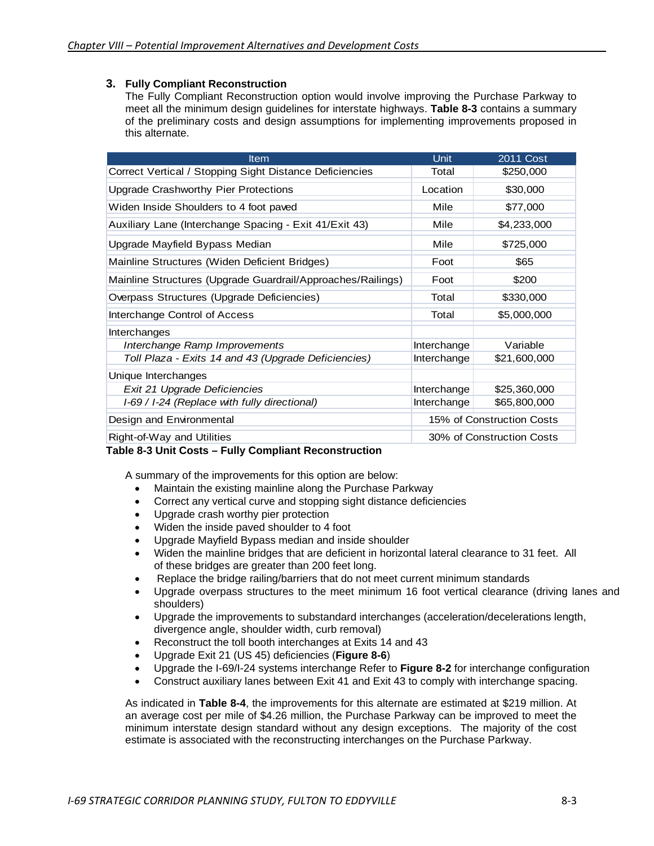# **3. Fully Compliant Reconstruction**

The Fully Compliant Reconstruction option would involve improving the Purchase Parkway to meet all the minimum design guidelines for interstate highways. **Table 8-3** contains a summary of the preliminary costs and design assumptions for implementing improvements proposed in this alternate.

| <b>Item</b>                                                 | Unit                      | <b>2011 Cost</b> |  |  |
|-------------------------------------------------------------|---------------------------|------------------|--|--|
| Correct Vertical / Stopping Sight Distance Deficiencies     | Total                     | \$250,000        |  |  |
| Upgrade Crashworthy Pier Protections                        | Location                  | \$30,000         |  |  |
| Widen Inside Shoulders to 4 foot paved                      | Mile                      | \$77,000         |  |  |
| Auxiliary Lane (Interchange Spacing - Exit 41/Exit 43)      | Mile                      | \$4,233,000      |  |  |
| Upgrade Mayfield Bypass Median                              | Mile                      | \$725,000        |  |  |
| Mainline Structures (Widen Deficient Bridges)               | Foot                      | \$65             |  |  |
| Mainline Structures (Upgrade Guardrail/Approaches/Railings) | Foot                      | \$200            |  |  |
| Overpass Structures (Upgrade Deficiencies)                  | Total                     | \$330,000        |  |  |
| Interchange Control of Access                               | Total                     | \$5,000,000      |  |  |
| Interchanges                                                |                           |                  |  |  |
| Interchange Ramp Improvements                               | Interchange               | Variable         |  |  |
| Toll Plaza - Exits 14 and 43 (Upgrade Deficiencies)         | Interchange               | \$21,600,000     |  |  |
| Unique Interchanges                                         |                           |                  |  |  |
| Exit 21 Upgrade Deficiencies                                | Interchange               | \$25,360,000     |  |  |
| I-69 / I-24 (Replace with fully directional)                | Interchange               | \$65,800,000     |  |  |
| Design and Environmental                                    | 15% of Construction Costs |                  |  |  |
| Right-of-Way and Utilities                                  | 30% of Construction Costs |                  |  |  |

#### **Table 8-3 Unit Costs – Fully Compliant Reconstruction**

A summary of the improvements for this option are below:

- Maintain the existing mainline along the Purchase Parkway
- Correct any vertical curve and stopping sight distance deficiencies
- Upgrade crash worthy pier protection
- Widen the inside paved shoulder to 4 foot
- Upgrade Mayfield Bypass median and inside shoulder
- Widen the mainline bridges that are deficient in horizontal lateral clearance to 31 feet. All of these bridges are greater than 200 feet long.
- Replace the bridge railing/barriers that do not meet current minimum standards
- Upgrade overpass structures to the meet minimum 16 foot vertical clearance (driving lanes and shoulders)
- Upgrade the improvements to substandard interchanges (acceleration/decelerations length, divergence angle, shoulder width, curb removal)
- Reconstruct the toll booth interchanges at Exits 14 and 43
- Upgrade Exit 21 (US 45) deficiencies (**Figure 8-6**)
- Upgrade the I-69/I-24 systems interchange Refer to **Figure 8-2** for interchange configuration
- Construct auxiliary lanes between Exit 41 and Exit 43 to comply with interchange spacing.

As indicated in **Table 8-4**, the improvements for this alternate are estimated at \$219 million. At an average cost per mile of \$4.26 million, the Purchase Parkway can be improved to meet the minimum interstate design standard without any design exceptions. The majority of the cost estimate is associated with the reconstructing interchanges on the Purchase Parkway.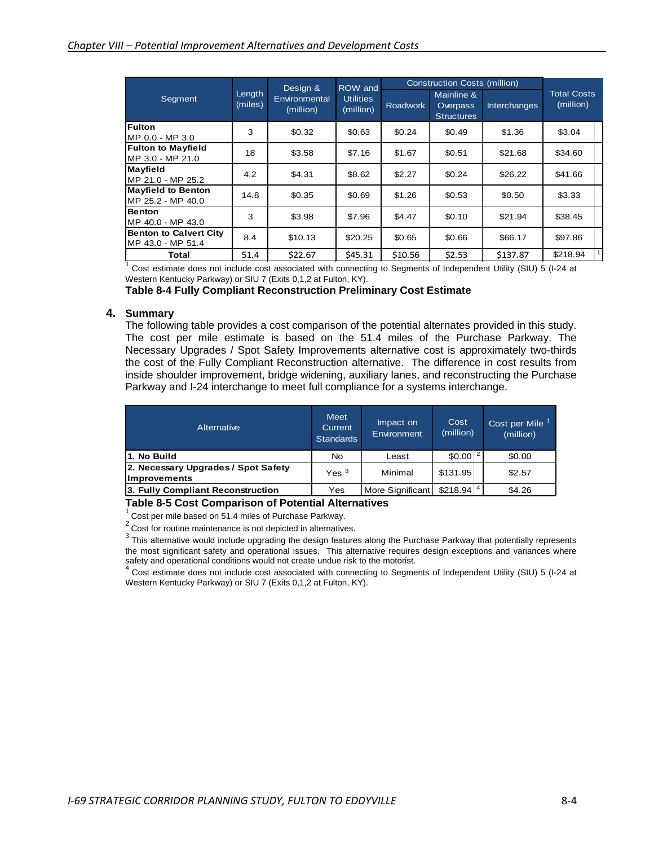| Segment                                            | Length<br>(miles) | Design &<br>Environmental<br>(million) | ROW and<br><b>Utilities</b><br>(million) | <b>Construction Costs (million)</b> |                                                    |                     |                                 |
|----------------------------------------------------|-------------------|----------------------------------------|------------------------------------------|-------------------------------------|----------------------------------------------------|---------------------|---------------------------------|
|                                                    |                   |                                        |                                          | <b>Roadwork</b>                     | Mainline &<br><b>Overpass</b><br><b>Structures</b> | <b>Interchanges</b> | <b>Total Costs</b><br>(million) |
| <b>Fulton</b><br>MP 0.0 - MP 3.0                   | 3                 | \$0.32                                 | \$0.63                                   | \$0.24                              | \$0.49                                             | \$1.36              | \$3.04                          |
| <b>Fulton to Mayfield</b><br>MP 3.0 - MP 21.0      | 18                | \$3.58                                 | \$7.16                                   | \$1.67                              | \$0.51                                             | \$21.68             | \$34.60                         |
| <b>Mayfield</b><br>MP 21.0 - MP 25.2               | 4.2               | \$4.31                                 | \$8.62                                   | \$2.27                              | \$0.24                                             | \$26.22             | \$41.66                         |
| <b>Mayfield to Benton</b><br>MP 25.2 - MP 40.0     | 14.8              | \$0.35                                 | \$0.69                                   | \$1.26                              | \$0.53                                             | \$0.50              | \$3.33                          |
| <b>Benton</b><br>IMP 40.0 - MP 43.0                | 3                 | \$3.98                                 | \$7.96                                   | \$4.47                              | \$0.10                                             | \$21.94             | \$38.45                         |
| <b>Benton to Calvert City</b><br>MP 43.0 - MP 51.4 | 8.4               | \$10.13                                | \$20.25                                  | \$0.65                              | \$0.66                                             | \$66.17             | \$97.86                         |
| Total                                              | 51.4              | \$22.67                                | \$45.31                                  | \$10.56                             | \$2.53                                             | \$137.87            | $\vert$ 1<br>\$218.94           |

 $1$  Cost estimate does not include cost associated with connecting to Segments of Independent Utility (SIU) 5 (I-24 at Western Kentucky Parkway) or SIU 7 (Exits 0,1,2 at Fulton, KY).

#### **Table 8-4 Fully Compliant Reconstruction Preliminary Cost Estimate**

#### **4. Summary**

The following table provides a cost comparison of the potential alternates provided in this study. The cost per mile estimate is based on the 51.4 miles of the Purchase Parkway. The Necessary Upgrades / Spot Safety Improvements alternative cost is approximately two-thirds the cost of the Fully Compliant Reconstruction alternative. The difference in cost results from inside shoulder improvement, bridge widening, auxiliary lanes, and reconstructing the Purchase Parkway and I-24 interchange to meet full compliance for a systems interchange.

| Alternative                                                 | Meet<br>Current<br><b>Standards</b> | Impact on<br>Environment | Cost<br>(million)      |  | Cost per Mile <sup>1</sup><br>(million) |
|-------------------------------------------------------------|-------------------------------------|--------------------------|------------------------|--|-----------------------------------------|
| l1. No Build                                                | No                                  | Least                    | $$0.00^{2}$            |  | \$0.00                                  |
| 2. Necessary Upgrades / Spot Safety<br><b>Ilmprovements</b> | Yes <sup>3</sup>                    | Minimal                  | \$131.95               |  | \$2.57                                  |
| 3. Fully Compliant Reconstruction                           | Yes                                 | More Significant         | $$218.94$ <sup>4</sup> |  | \$4.26                                  |

# **Table 8-5 Cost Comparison of Potential Alternatives** <sup>1</sup> Cost per mile based on 51.4 miles of Purchase Parkway.

 $2$  Cost for routine maintenance is not depicted in alternatives.

 $3$  This alternative would include upgrading the design features along the Purchase Parkway that potentially represents the most significant safety and operational issues. This alternative requires design exceptions and variances where safety and operational conditions would not create undue risk to the motorist.

Cost estimate does not include cost associated with connecting to Segments of Independent Utility (SIU) 5 (I-24 at Western Kentucky Parkway) or SIU 7 (Exits 0,1,2 at Fulton, KY).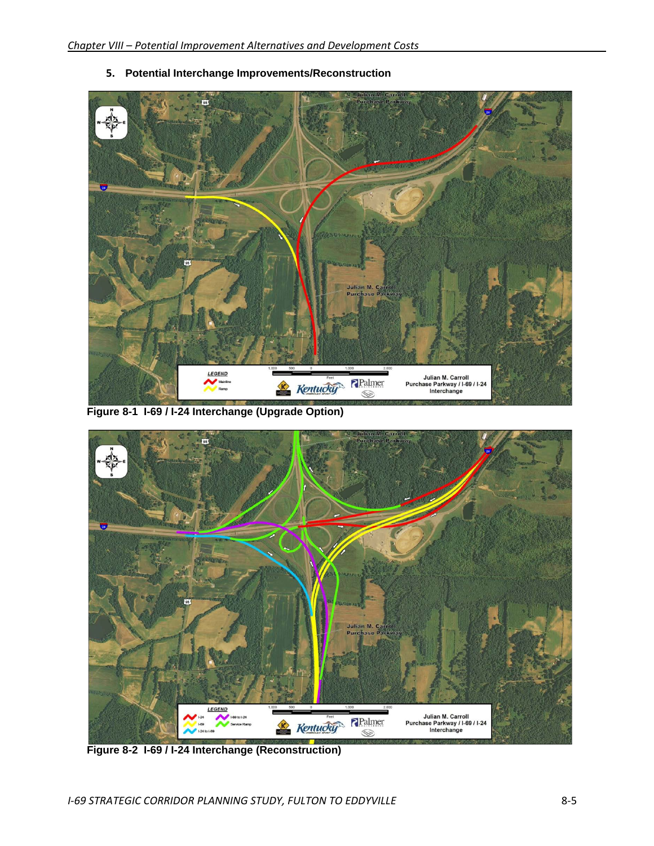

**5. Potential Interchange Improvements/Reconstruction**

**Figure 8-1 I-69 / I-24 Interchange (Upgrade Option)**



**Figure 8-2 I-69 / I-24 Interchange (Reconstruction)**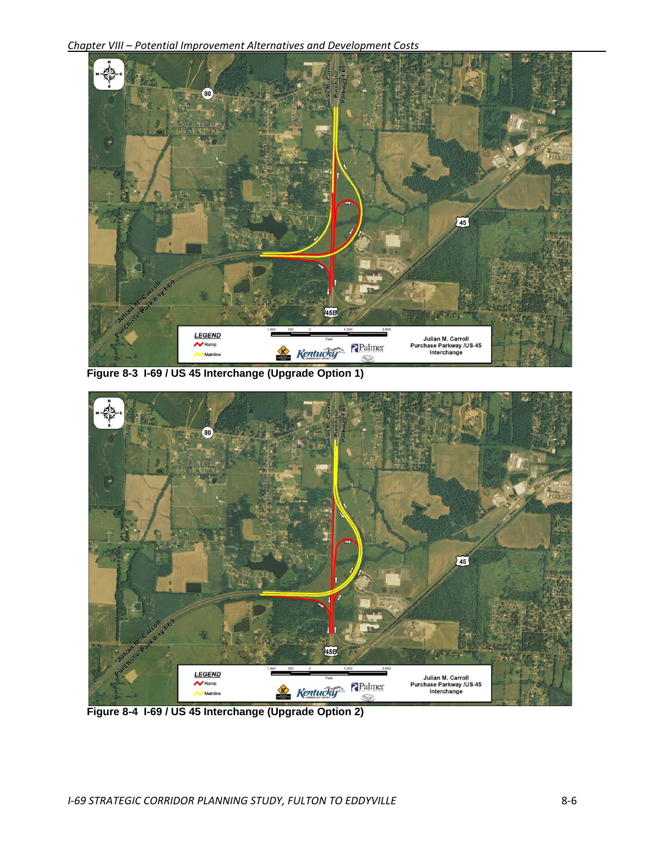*Chapter VIII – Potential Improvement Alternatives and Development Costs*



**Figure 8-3 I-69 / US 45 Interchange (Upgrade Option 1)**



**Figure 8-4 I-69 / US 45 Interchange (Upgrade Option 2)**